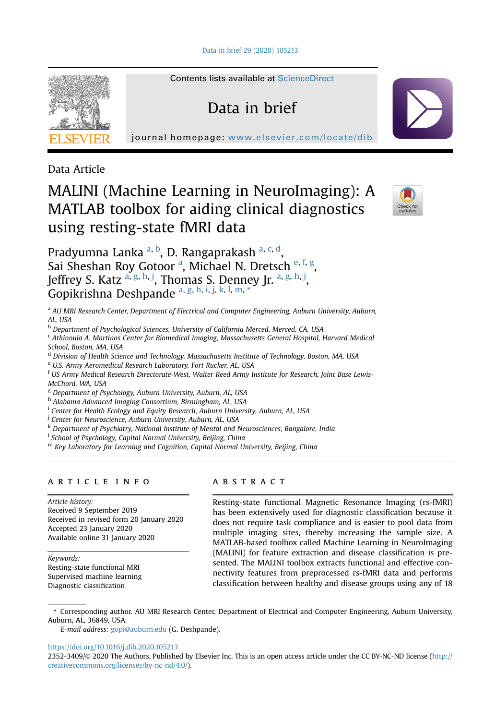[Data in brief 29 \(2020\) 105213](https://doi.org/10.1016/j.dib.2020.105213)



Contents lists available at [ScienceDirect](www.sciencedirect.com/science/journal/23523409)

Data in brief

journal homepage: <www.elsevier.com/locate/dib>

Data Article

# MALINI (Machine Learning in NeuroImaging): A MATLAB toolbox for aiding clinical diagnostics using resting-state fMRI data



Pradyumna Lanka <sup>a, b</sup>, D. Rangaprakash <sup>a, c, d</sup>, Sai Sheshan Roy Gotoor <sup>a</sup>, Michael N. Dretsch <sup>e, f, g</sup>, Jeffrey S. Katz <sup>a, g, h, j</sup>, Thomas S. Denney Jr. <sup>a, g, h, j</sup>, Gopikrishna Deshpande a, g, h, i, j, k, l, m, \*

<sup>a</sup> AU MRI Research Center, Department of Electrical and Computer Engineering, Auburn University, Auburn, AL, LISA

b Department of Psychological Sciences, University of California Merced, Merced, CA, USA

<sup>c</sup> Athinoula A. Martinos Center for Biomedical Imaging, Massachusetts General Hospital, Harvard Medical School, Boston, MA, USA

<sup>d</sup> Division of Health Science and Technology, Massachusetts Institute of Technology, Boston, MA, USA

<sup>e</sup> U.S. Army Aeromedical Research Laboratory, Fort Rucker, AL, USA

<sup>f</sup> US Army Medical Research Directorate-West, Walter Reed Army Institute for Research, Joint Base Lewis-McChord, WA, USA

<sup>g</sup> Department of Psychology, Auburn University, Auburn, AL, USA

<sup>h</sup> Alabama Advanced Imaging Consortium, Birmingham, AL, USA

<sup>i</sup> Center for Health Ecology and Equity Research, Auburn University, Auburn, AL, USA

<sup>j</sup> Center for Neuroscience, Auburn University, Auburn, AL, USA

k Department of Psychiatry, National Institute of Mental and Neurosciences, Bangalore, India

<sup>1</sup> School of Psychology, Capital Normal University, Beijing, China

m Key Laboratory for Learning and Cognition, Capital Normal University, Beijing, China

#### article info

Article history: Received 9 September 2019 Received in revised form 20 January 2020 Accepted 23 January 2020 Available online 31 January 2020

Keywords: Resting-state functional MRI Supervised machine learning Diagnostic classification

## ABSTRACT

Resting-state functional Magnetic Resonance Imaging (rs-fMRI) has been extensively used for diagnostic classification because it does not require task compliance and is easier to pool data from multiple imaging sites, thereby increasing the sample size. A MATLAB-based toolbox called Machine Learning in NeuroImaging (MALINI) for feature extraction and disease classification is presented. The MALINI toolbox extracts functional and effective connectivity features from preprocessed rs-fMRI data and performs classification between healthy and disease groups using any of 18

\* Corresponding author. AU MRI Research Center, Department of Electrical and Computer Engineering, Auburn University, Auburn, AL, 36849, USA.

E-mail address: [gopi@auburn.edu](mailto:gopi@auburn.edu) (G. Deshpande).

<https://doi.org/10.1016/j.dib.2020.105213>

2352-3409/© 2020 The Authors. Published by Elsevier Inc. This is an open access article under the CC BY-NC-ND license ([http://](http://creativecommons.org/licenses/by-nc-nd/4.0/) [creativecommons.org/licenses/by-nc-nd/4.0/](http://creativecommons.org/licenses/by-nc-nd/4.0/)).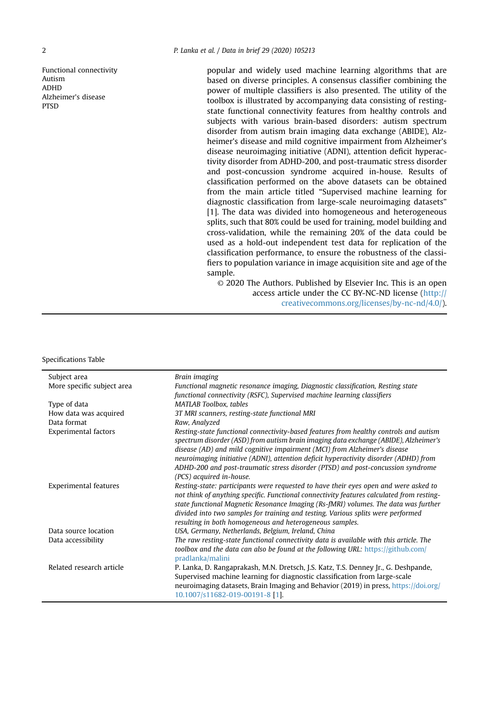Functional connectivity Autism ADHD Alzheimer's disease **PTSD** 

popular and widely used machine learning algorithms that are based on diverse principles. A consensus classifier combining the power of multiple classifiers is also presented. The utility of the toolbox is illustrated by accompanying data consisting of restingstate functional connectivity features from healthy controls and subjects with various brain-based disorders: autism spectrum disorder from autism brain imaging data exchange (ABIDE), Alzheimer's disease and mild cognitive impairment from Alzheimer's disease neuroimaging initiative (ADNI), attention deficit hyperactivity disorder from ADHD-200, and post-traumatic stress disorder and post-concussion syndrome acquired in-house. Results of classification performed on the above datasets can be obtained from the main article titled "Supervised machine learning for diagnostic classification from large-scale neuroimaging datasets" [1]. The data was divided into homogeneous and heterogeneous splits, such that 80% could be used for training, model building and cross-validation, while the remaining 20% of the data could be used as a hold-out independent test data for replication of the classification performance, to ensure the robustness of the classifiers to population variance in image acquisition site and age of the sample.

© 2020 The Authors. Published by Elsevier Inc. This is an open access article under the CC BY-NC-ND license [\(http://](http://creativecommons.org/licenses/by-nc-nd/4.0/) [creativecommons.org/licenses/by-nc-nd/4.0/\)](http://creativecommons.org/licenses/by-nc-nd/4.0/).

Specifications Table

| Subject area               | Brain imaging                                                                                                                                                                                                                                                                                                                                                                                                                                                     |
|----------------------------|-------------------------------------------------------------------------------------------------------------------------------------------------------------------------------------------------------------------------------------------------------------------------------------------------------------------------------------------------------------------------------------------------------------------------------------------------------------------|
| More specific subject area | Functional magnetic resonance imaging, Diagnostic classification, Resting state                                                                                                                                                                                                                                                                                                                                                                                   |
|                            | functional connectivity (RSFC), Supervised machine learning classifiers                                                                                                                                                                                                                                                                                                                                                                                           |
| Type of data               | <b>MATLAB Toolbox, tables</b>                                                                                                                                                                                                                                                                                                                                                                                                                                     |
| How data was acquired      | 3T MRI scanners, resting-state functional MRI                                                                                                                                                                                                                                                                                                                                                                                                                     |
| Data format                | Raw, Analyzed                                                                                                                                                                                                                                                                                                                                                                                                                                                     |
| Experimental factors       | Resting-state functional connectivity-based features from healthy controls and autism<br>spectrum disorder (ASD) from autism brain imaging data exchange (ABIDE), Alzheimer's<br>disease (AD) and mild cognitive impairment (MCI) from Alzheimer's disease<br>neuroimaging initiative (ADNI), attention deficit hyperactivity disorder (ADHD) from<br>ADHD-200 and post-traumatic stress disorder (PTSD) and post-concussion syndrome<br>(PCS) acquired in-house. |
| Experimental features      | Resting-state: participants were requested to have their eyes open and were asked to<br>not think of anything specific. Functional connectivity features calculated from resting-<br>state functional Magnetic Resonance Imaging (Rs-fMRI) volumes. The data was further<br>divided into two samples for training and testing. Various splits were performed<br>resulting in both homogeneous and heterogeneous samples.                                          |
| Data source location       | USA, Germany, Netherlands, Belgium, Ireland, China                                                                                                                                                                                                                                                                                                                                                                                                                |
| Data accessibility         | The raw resting-state functional connectivity data is available with this article. The<br>toolbox and the data can also be found at the following URL: https://github.com/<br>pradlanka/malini                                                                                                                                                                                                                                                                    |
| Related research article   | P. Lanka, D. Rangaprakash, M.N. Dretsch, J.S. Katz, T.S. Denney Jr., G. Deshpande,<br>Supervised machine learning for diagnostic classification from large-scale<br>neuroimaging datasets, Brain Imaging and Behavior (2019) in press, https://doi.org/<br>10.1007/s11682-019-00191-8 [1].                                                                                                                                                                        |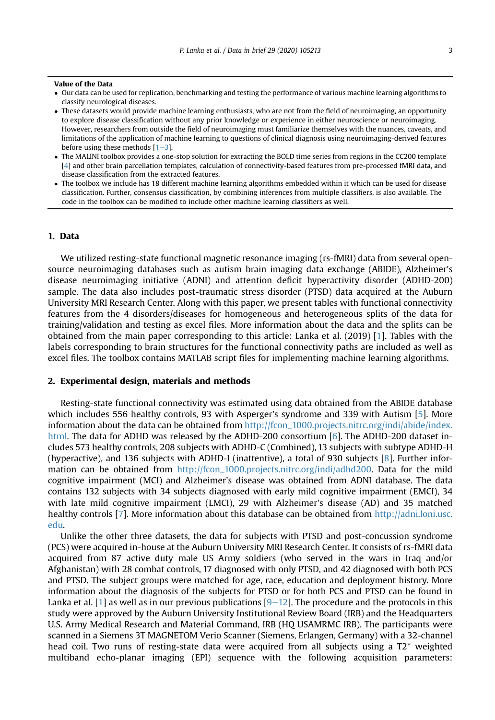#### Value of the Data

- Our data can be used for replication, benchmarking and testing the performance of various machine learning algorithms to classify neurological diseases.
- These datasets would provide machine learning enthusiasts, who are not from the field of neuroimaging, an opportunity to explore disease classification without any prior knowledge or experience in either neuroscience or neuroimaging. However, researchers from outside the field of neuroimaging must familiarize themselves with the nuances, caveats, and limitations of the application of machine learning to questions of clinical diagnosis using neuroimaging-derived features before using these methods  $[1-3]$  $[1-3]$  $[1-3]$  $[1-3]$ .
- The MALINI toolbox provides a one-stop solution for extracting the BOLD time series from regions in the CC200 template [[4](#page-7-0)] and other brain parcellation templates, calculation of connectivity-based features from pre-processed fMRI data, and disease classification from the extracted features.
- The toolbox we include has 18 different machine learning algorithms embedded within it which can be used for disease classification. Further, consensus classification, by combining inferences from multiple classifiers, is also available. The code in the toolbox can be modified to include other machine learning classifiers as well.

#### 1. Data

We utilized resting-state functional magnetic resonance imaging (rs-fMRI) data from several opensource neuroimaging databases such as autism brain imaging data exchange (ABIDE), Alzheimer's disease neuroimaging initiative (ADNI) and attention deficit hyperactivity disorder (ADHD-200) sample. The data also includes post-traumatic stress disorder (PTSD) data acquired at the Auburn University MRI Research Center. Along with this paper, we present tables with functional connectivity features from the 4 disorders/diseases for homogeneous and heterogeneous splits of the data for training/validation and testing as excel files. More information about the data and the splits can be obtained from the main paper corresponding to this article: Lanka et al. (2019) [\[1\]](#page-7-0). Tables with the labels corresponding to brain structures for the functional connectivity paths are included as well as excel files. The toolbox contains MATLAB script files for implementing machine learning algorithms.

#### 2. Experimental design, materials and methods

Resting-state functional connectivity was estimated using data obtained from the ABIDE database which includes 556 healthy controls, 93 with Asperger's syndrome and 339 with Autism [\[5](#page-7-0)]. More information about the data can be obtained from [http://fcon\\_1000.projects.nitrc.org/indi/abide/index.](http://fcon_1000.projects.nitrc.org/indi/abide/index.html) [html](http://fcon_1000.projects.nitrc.org/indi/abide/index.html). The data for ADHD was released by the ADHD-200 consortium [\[6](#page-7-0)]. The ADHD-200 dataset includes 573 healthy controls, 208 subjects with ADHD-C (Combined), 13 subjects with subtype ADHD-H (hyperactive), and 136 subjects with ADHD-I (inattentive), a total of 930 subjects [\[8](#page-7-0)]. Further information can be obtained from [http://fcon\\_1000.projects.nitrc.org/indi/adhd200](http://fcon_1000.projects.nitrc.org/indi/adhd200). Data for the mild cognitive impairment (MCI) and Alzheimer's disease was obtained from ADNI database. The data contains 132 subjects with 34 subjects diagnosed with early mild cognitive impairment (EMCI), 34 with late mild cognitive impairment (LMCI), 29 with Alzheimer's disease (AD) and 35 matched healthy controls [[7\]](#page-7-0). More information about this database can be obtained from [http://adni.loni.usc.](http://adni.loni.usc.edu) [edu](http://adni.loni.usc.edu).

Unlike the other three datasets, the data for subjects with PTSD and post-concussion syndrome (PCS) were acquired in-house at the Auburn University MRI Research Center. It consists of rs-fMRI data acquired from 87 active duty male US Army soldiers (who served in the wars in Iraq and/or Afghanistan) with 28 combat controls, 17 diagnosed with only PTSD, and 42 diagnosed with both PCS and PTSD. The subject groups were matched for age, race, education and deployment history. More information about the diagnosis of the subjects for PTSD or for both PCS and PTSD can be found in Lanka et al. [[1\]](#page-7-0) as well as in our previous publications  $[9-12]$  $[9-12]$  $[9-12]$  $[9-12]$ . The procedure and the protocols in this study were approved by the Auburn University Institutional Review Board (IRB) and the Headquarters U.S. Army Medical Research and Material Command, IRB (HQ USAMRMC IRB). The participants were scanned in a Siemens 3T MAGNETOM Verio Scanner (Siemens, Erlangen, Germany) with a 32-channel head coil. Two runs of resting-state data were acquired from all subjects using a T2\* weighted multiband echo-planar imaging (EPI) sequence with the following acquisition parameters: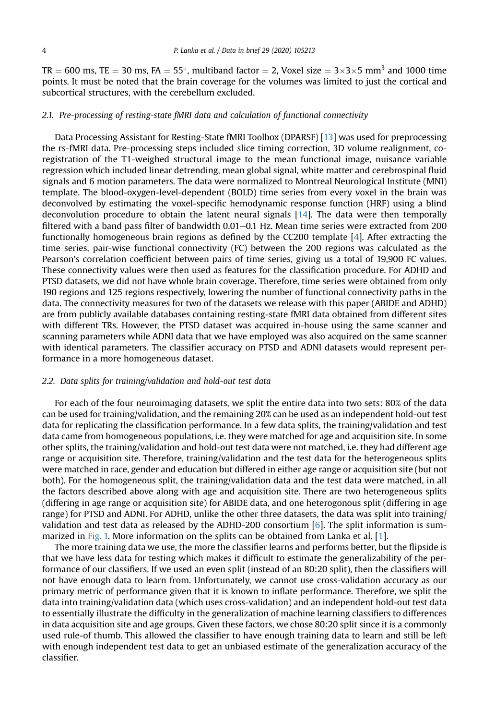TR = 600 ms, TE = 30 ms, FA = 55°, multiband factor = 2, Voxel size =  $3 \times 3 \times 5$  mm<sup>3</sup> and 1000 time points. It must be noted that the brain coverage for the volumes was limited to just the cortical and subcortical structures, with the cerebellum excluded.

#### 2.1. Pre-processing of resting-state fMRI data and calculation of functional connectivity

Data Processing Assistant for Resting-State fMRI Toolbox (DPARSF) [\[13](#page-8-0)] was used for preprocessing the rs-fMRI data. Pre-processing steps included slice timing correction, 3D volume realignment, coregistration of the T1-weighed structural image to the mean functional image, nuisance variable regression which included linear detrending, mean global signal, white matter and cerebrospinal fluid signals and 6 motion parameters. The data were normalized to Montreal Neurological Institute (MNI) template. The blood-oxygen-level-dependent (BOLD) time series from every voxel in the brain was deconvolved by estimating the voxel-specific hemodynamic response function (HRF) using a blind deconvolution procedure to obtain the latent neural signals [[14\]](#page-8-0). The data were then temporally filtered with a band pass filter of bandwidth  $0.01-0.1$  Hz. Mean time series were extracted from 200 functionally homogeneous brain regions as defined by the CC200 template [[4](#page-7-0)]. After extracting the time series, pair-wise functional connectivity (FC) between the 200 regions was calculated as the Pearson's correlation coefficient between pairs of time series, giving us a total of 19,900 FC values. These connectivity values were then used as features for the classification procedure. For ADHD and PTSD datasets, we did not have whole brain coverage. Therefore, time series were obtained from only 190 regions and 125 regions respectively, lowering the number of functional connectivity paths in the data. The connectivity measures for two of the datasets we release with this paper (ABIDE and ADHD) are from publicly available databases containing resting-state fMRI data obtained from different sites with different TRs. However, the PTSD dataset was acquired in-house using the same scanner and scanning parameters while ADNI data that we have employed was also acquired on the same scanner with identical parameters. The classifier accuracy on PTSD and ADNI datasets would represent performance in a more homogeneous dataset.

#### 2.2. Data splits for training/validation and hold-out test data

For each of the four neuroimaging datasets, we split the entire data into two sets: 80% of the data can be used for training/validation, and the remaining 20% can be used as an independent hold-out test data for replicating the classification performance. In a few data splits, the training/validation and test data came from homogeneous populations, i.e. they were matched for age and acquisition site. In some other splits, the training/validation and hold-out test data were not matched, i.e. they had different age range or acquisition site. Therefore, training/validation and the test data for the heterogeneous splits were matched in race, gender and education but differed in either age range or acquisition site (but not both). For the homogeneous split, the training/validation data and the test data were matched, in all the factors described above along with age and acquisition site. There are two heterogeneous splits (differing in age range or acquisition site) for ABIDE data, and one heterogonous split (differing in age range) for PTSD and ADNI. For ADHD, unlike the other three datasets, the data was split into training/ validation and test data as released by the ADHD-200 consortium [[6\]](#page-7-0). The split information is summarized in [Fig. 1.](#page-4-0) More information on the splits can be obtained from Lanka et al. [[1](#page-7-0)].

The more training data we use, the more the classifier learns and performs better, but the flipside is that we have less data for testing which makes it difficult to estimate the generalizability of the performance of our classifiers. If we used an even split (instead of an 80:20 split), then the classifiers will not have enough data to learn from. Unfortunately, we cannot use cross-validation accuracy as our primary metric of performance given that it is known to inflate performance. Therefore, we split the data into training/validation data (which uses cross-validation) and an independent hold-out test data to essentially illustrate the difficulty in the generalization of machine learning classifiers to differences in data acquisition site and age groups. Given these factors, we chose 80:20 split since it is a commonly used rule-of thumb. This allowed the classifier to have enough training data to learn and still be left with enough independent test data to get an unbiased estimate of the generalization accuracy of the classifier.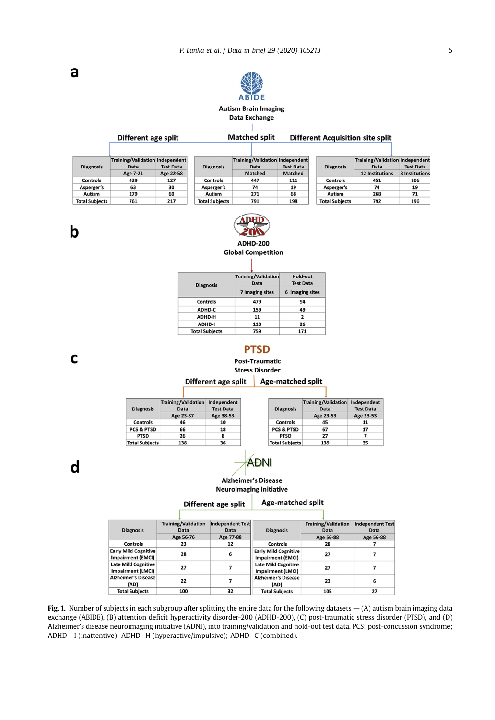

# **Autism Brain Imaging** Data Exchange

#### Different age split

**Matched split** 

|         | <b>Different Acquisition site split</b> |  |
|---------|-----------------------------------------|--|
|         |                                         |  |
| pendent | <b>Training/Validation Independent</b>  |  |

|                       | <b>Training/Validation Independent</b> |                  |                       | <b>Training/Validation Independent</b> |                  |                       | <b>Training/Validati</b> |
|-----------------------|----------------------------------------|------------------|-----------------------|----------------------------------------|------------------|-----------------------|--------------------------|
| <b>Diagnosis</b>      | Data                                   | <b>Test Data</b> | <b>Diagnosis</b>      | Data                                   | <b>Test Data</b> | <b>Diagnosis</b>      | Data                     |
|                       | Age 7-21                               | Age 22-58        |                       | <b>Matched</b>                         | <b>Matched</b>   |                       | <b>12 Institutions</b>   |
| <b>Controls</b>       | 429                                    | 127              | Controls              | 447                                    | 111              | Controls              | 451                      |
| Asperger's            | 63                                     | 30               | Asperger's            | 74                                     | 19               | Asperger's            |                          |
| Autism                | 279                                    | 60               | Autism                | 271                                    | 68               | Autism                | 268                      |
| <b>Total Subjects</b> | 761                                    | 217              | <b>Total Subjects</b> | 791                                    | 198              | <b>Total Subjects</b> | 792                      |



<span id="page-4-0"></span>a



#### **Global Competition** ı

| <b>Diagnosis</b>      | <b>Training/Validation</b><br>Data | Hold-out<br><b>Test Data</b><br>6 imaging sites |  |  |
|-----------------------|------------------------------------|-------------------------------------------------|--|--|
|                       | 7 imaging sites                    |                                                 |  |  |
| <b>Controls</b>       | 479                                | 94                                              |  |  |
| ADHD-C                | 159                                | 49                                              |  |  |
| ADHD-H                | 11                                 | $\overline{2}$                                  |  |  |
| <b>ADHD-I</b>         | 110                                | 26                                              |  |  |
| <b>Total Subjects</b> | 759                                | 171                                             |  |  |

 $\mathbf c$ 

d

 $(AD)$ 

Total Subjects

 $100$ 

#### **PTSD Post-Traumatic Stress Disorder** Different age split **Age-matched split Training/Validation** Independent **Training/Validation** Independent **Test Data Diagnosis Diagnosis** Data **Test Data** Data Age 23-37 Age 38-53 Age 23-53 Age 23-53 Controls 46 10 Controls  $\overline{45}$ 11 PCS & PTSD 66 18 PCS & PTSD 67 17 **PTSD**  $26$ 8 **PTSD** 27  $\overline{\phantom{a}}$ **Total Subjects Total Subjects** 138 36 139 35 **ADNI Alzheimer's Disease Neuroimaging Initiative** Age-matched split Different age split **Training/Validation Training/Validation Independent Test Independent Test** Diagnosis Data Data Data **Data Diagnosis** Age 56-76 Age 77-88 Age 56-88 Age 56-88 Controls 23  $12$ Controls 28 7 **Early Mild Cognitive Early Mild Cognitive** 7 28 6 27 Impairment (EMCI) Impairment (EMCI) Late Mild Cognitive **Late Mild Cognitive** 27  $\overline{\phantom{a}}$ 27  $\overline{z}$ **Impairment (LMCI) Impairment (LMCI) Alzheimer's Disease Alzheimer's Disease**  $22$  $\overline{\phantom{a}}$ 6 23

Fig. 1. Number of subjects in each subgroup after splitting the entire data for the following datasets  $-(A)$  autism brain imaging data exchange (ABIDE), (B) attention deficit hyperactivity disorder-200 (ADHD-200), (C) post-traumatic stress disorder (PTSD), and (D) Alzheimer's disease neuroimaging initiative (ADNI), into training/validation and hold-out test data. PCS: post-concussion syndrome; ADHD -I (inattentive); ADHD-H (hyperactive/impulsive); ADHD-C (combined).

 $\overline{32}$ 

 $(AD)$ 

**Total Subjects** 

 $\frac{105}{105}$ 

 $\overline{27}$ 

**Test Data** 

3 Institutions 106  $\overline{19}$  $\overline{71}$ 196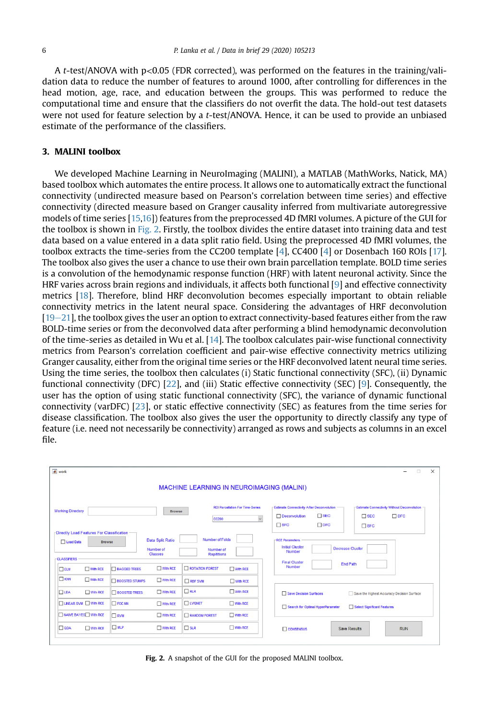A t-test/ANOVA with  $p<0.05$  (FDR corrected), was performed on the features in the training/validation data to reduce the number of features to around 1000, after controlling for differences in the head motion, age, race, and education between the groups. This was performed to reduce the computational time and ensure that the classifiers do not overfit the data. The hold-out test datasets were not used for feature selection by a t-test/ANOVA. Hence, it can be used to provide an unbiased estimate of the performance of the classifiers.

#### 3. MALINI toolbox

We developed Machine Learning in NeuroImaging (MALINI), a MATLAB (MathWorks, Natick, MA) based toolbox which automates the entire process. It allows one to automatically extract the functional connectivity (undirected measure based on Pearson's correlation between time series) and effective connectivity (directed measure based on Granger causality inferred from multivariate autoregressive models of time series [[15,16](#page-8-0)]) features from the preprocessed 4D fMRI volumes. A picture of the GUI for the toolbox is shown in Fig. 2. Firstly, the toolbox divides the entire dataset into training data and test data based on a value entered in a data split ratio field. Using the preprocessed 4D fMRI volumes, the toolbox extracts the time-series from the CC200 template [[4\]](#page-7-0), CC400 [[4\]](#page-7-0) or Dosenbach 160 ROIs [[17\]](#page-8-0). The toolbox also gives the user a chance to use their own brain parcellation template. BOLD time series is a convolution of the hemodynamic response function (HRF) with latent neuronal activity. Since the HRF varies across brain regions and individuals, it affects both functional [\[9\]](#page-8-0) and effective connectivity metrics [[18\]](#page-8-0). Therefore, blind HRF deconvolution becomes especially important to obtain reliable connectivity metrics in the latent neural space. Considering the advantages of HRF deconvolution  $[19–21]$  $[19–21]$  $[19–21]$  $[19–21]$  $[19–21]$ , the toolbox gives the user an option to extract connectivity-based features either from the raw BOLD-time series or from the deconvolved data after performing a blind hemodynamic deconvolution of the time-series as detailed in Wu et al. [[14\]](#page-8-0). The toolbox calculates pair-wise functional connectivity metrics from Pearson's correlation coefficient and pair-wise effective connectivity metrics utilizing Granger causality, either from the original time series or the HRF deconvolved latent neural time series. Using the time series, the toolbox then calculates (i) Static functional connectivity (SFC), (ii) Dynamic functional connectivity (DFC) [\[22\]](#page-8-0), and (iii) Static effective connectivity (SEC) [[9\]](#page-8-0). Consequently, the user has the option of using static functional connectivity (SFC), the variance of dynamic functional connectivity (varDFC) [[23](#page-8-0)], or static effective connectivity (SEC) as features from the time series for disease classification. The toolbox also gives the user the opportunity to directly classify any type of feature (i.e. need not necessarily be connectivity) arranged as rows and subjects as columns in an excel file.



Fig. 2. A snapshot of the GUI for the proposed MALINI toolbox.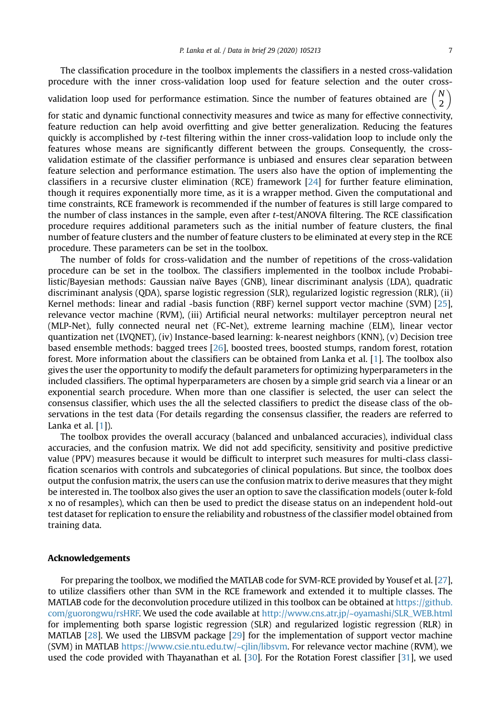2

The classification procedure in the toolbox implements the classifiers in a nested cross-validation procedure with the inner cross-validation loop used for feature selection and the outer crossvalidation loop used for performance estimation. Since the number of features obtained are  $\setminus$ 

for static and dynamic functional connectivity measures and twice as many for effective connectivity, feature reduction can help avoid overfitting and give better generalization. Reducing the features quickly is accomplished by t-test filtering within the inner cross-validation loop to include only the features whose means are significantly different between the groups. Consequently, the crossvalidation estimate of the classifier performance is unbiased and ensures clear separation between feature selection and performance estimation. The users also have the option of implementing the classifiers in a recursive cluster elimination (RCE) framework [\[24\]](#page-8-0) for further feature elimination, though it requires exponentially more time, as it is a wrapper method. Given the computational and time constraints, RCE framework is recommended if the number of features is still large compared to the number of class instances in the sample, even after t-test/ANOVA filtering. The RCE classification procedure requires additional parameters such as the initial number of feature clusters, the final number of feature clusters and the number of feature clusters to be eliminated at every step in the RCE procedure. These parameters can be set in the toolbox.

The number of folds for cross-validation and the number of repetitions of the cross-validation procedure can be set in the toolbox. The classifiers implemented in the toolbox include Probabilistic/Bayesian methods: Gaussian naïve Bayes (GNB), linear discriminant analysis (LDA), quadratic discriminant analysis (QDA), sparse logistic regression (SLR), regularized logistic regression (RLR), (ii) Kernel methods: linear and radial -basis function (RBF) kernel support vector machine (SVM) [[25](#page-8-0)], relevance vector machine (RVM), (iii) Artificial neural networks: multilayer perceptron neural net (MLP-Net), fully connected neural net (FC-Net), extreme learning machine (ELM), linear vector quantization net (LVQNET), (iv) Instance-based learning: k-nearest neighbors (KNN), (v) Decision tree based ensemble methods: bagged trees [[26](#page-8-0)], boosted trees, boosted stumps, random forest, rotation forest. More information about the classifiers can be obtained from Lanka et al. [\[1\]](#page-7-0). The toolbox also gives the user the opportunity to modify the default parameters for optimizing hyperparameters in the included classifiers. The optimal hyperparameters are chosen by a simple grid search via a linear or an exponential search procedure. When more than one classifier is selected, the user can select the consensus classifier, which uses the all the selected classifiers to predict the disease class of the observations in the test data (For details regarding the consensus classifier, the readers are referred to Lanka et al. [[1](#page-7-0)]).

The toolbox provides the overall accuracy (balanced and unbalanced accuracies), individual class accuracies, and the confusion matrix. We did not add specificity, sensitivity and positive predictive value (PPV) measures because it would be difficult to interpret such measures for multi-class classification scenarios with controls and subcategories of clinical populations. But since, the toolbox does output the confusion matrix, the users can use the confusion matrix to derive measures that they might be interested in. The toolbox also gives the user an option to save the classification models (outer k-fold x no of resamples), which can then be used to predict the disease status on an independent hold-out test dataset for replication to ensure the reliability and robustness of the classifier model obtained from training data.

#### Acknowledgements

For preparing the toolbox, we modified the MATLAB code for SVM-RCE provided by Yousef et al. [\[27](#page-8-0)], to utilize classifiers other than SVM in the RCE framework and extended it to multiple classes. The MATLAB code for the deconvolution procedure utilized in this toolbox can be obtained at [https://github.](https://github.com/guorongwu/rsHRF) [com/guorongwu/rsHRF.](https://github.com/guorongwu/rsHRF) We used the code available at [http://www.cns.atr.jp/~oyamashi/SLR\\_WEB.html](http://www.cns.atr.jp/%7Eoyamashi/SLR_WEB.html) for implementing both sparse logistic regression (SLR) and regularized logistic regression (RLR) in MATLAB [[28](#page-8-0)]. We used the LIBSVM package [\[29\]](#page-8-0) for the implementation of support vector machine (SVM) in MATLAB [https://www.csie.ntu.edu.tw/~cjlin/libsvm.](https://www.csie.ntu.edu.tw/%7Ecjlin/libsvm) For relevance vector machine (RVM), we used the code provided with Thayanathan et al. [[30](#page-8-0)]. For the Rotation Forest classifier [\[31](#page-8-0)], we used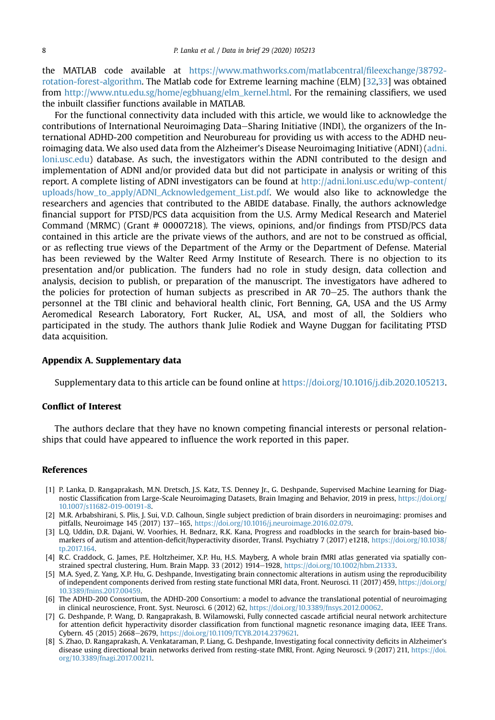<span id="page-7-0"></span>the MATLAB code available at [https://www.mathworks.com/matlabcentral/](https://www.mathworks.com/matlabcentral/fileexchange/38792-rotation-forest-algorithm)fileexchange/38792 [rotation-forest-algorithm.](https://www.mathworks.com/matlabcentral/fileexchange/38792-rotation-forest-algorithm) The Matlab code for Extreme learning machine (ELM) [\[32,33\]](#page-8-0) was obtained from [http://www.ntu.edu.sg/home/egbhuang/elm\\_kernel.html.](http://www.ntu.edu.sg/home/egbhuang/elm_kernel.html) For the remaining classifiers, we used the inbuilt classifier functions available in MATLAB.

For the functional connectivity data included with this article, we would like to acknowledge the contributions of International Neuroimaging Data-Sharing Initiative (INDI), the organizers of the International ADHD-200 competition and Neurobureau for providing us with access to the ADHD neuroimaging data. We also used data from the Alzheimer's Disease Neuroimaging Initiative (ADNI) ([adni.](http://adni.loni.usc.edu) [loni.usc.edu\)](http://adni.loni.usc.edu) database. As such, the investigators within the ADNI contributed to the design and implementation of ADNI and/or provided data but did not participate in analysis or writing of this report. A complete listing of ADNI investigators can be found at [http://adni.loni.usc.edu/wp-content/](http://adni.loni.usc.edu/wp-content/uploads/how_to_apply/ADNI_Acknowledgement_List.pdf) [uploads/how\\_to\\_apply/ADNI\\_Acknowledgement\\_List.pdf.](http://adni.loni.usc.edu/wp-content/uploads/how_to_apply/ADNI_Acknowledgement_List.pdf) We would also like to acknowledge the researchers and agencies that contributed to the ABIDE database. Finally, the authors acknowledge financial support for PTSD/PCS data acquisition from the U.S. Army Medical Research and Materiel Command (MRMC) (Grant # 00007218). The views, opinions, and/or findings from PTSD/PCS data contained in this article are the private views of the authors, and are not to be construed as official, or as reflecting true views of the Department of the Army or the Department of Defense. Material has been reviewed by the Walter Reed Army Institute of Research. There is no objection to its presentation and/or publication. The funders had no role in study design, data collection and analysis, decision to publish, or preparation of the manuscript. The investigators have adhered to the policies for protection of human subjects as prescribed in AR  $70-25$ . The authors thank the personnel at the TBI clinic and behavioral health clinic, Fort Benning, GA, USA and the US Army Aeromedical Research Laboratory, Fort Rucker, AL, USA, and most of all, the Soldiers who participated in the study. The authors thank Julie Rodiek and Wayne Duggan for facilitating PTSD data acquisition.

#### Appendix A. Supplementary data

Supplementary data to this article can be found online at [https://doi.org/10.1016/j.dib.2020.105213.](https://doi.org/10.1016/j.dib.2020.105213)

### Conflict of Interest

The authors declare that they have no known competing financial interests or personal relationships that could have appeared to influence the work reported in this paper.

#### References

- [1] P. Lanka, D. Rangaprakash, M.N. Dretsch, J.S. Katz, T.S. Denney Jr., G. Deshpande, Supervised Machine Learning for Diagnostic Classification from Large-Scale Neuroimaging Datasets, Brain Imaging and Behavior, 2019 in press, [https://doi.org/](https://doi.org/10.1007/s11682-019-00191-8) [10.1007/s11682-019-00191-8.](https://doi.org/10.1007/s11682-019-00191-8)
- [2] M.R. Arbabshirani, S. Plis, J. Sui, V.D. Calhoun, Single subject prediction of brain disorders in neuroimaging: promises and pitfalls, Neuroimage 145 (2017) 137-165, <https://doi.org/10.1016/j.neuroimage.2016.02.079>.
- [3] L.Q. Uddin, D.R. Dajani, W. Voorhies, H. Bednarz, R.K. Kana, Progress and roadblocks in the search for brain-based biomarkers of autism and attention-deficit/hyperactivity disorder, Transl. Psychiatry 7 (2017) e1218, [https://doi.org/10.1038/](https://doi.org/10.1038/tp.2017.164) [tp.2017.164](https://doi.org/10.1038/tp.2017.164).
- [4] R.C. Craddock, G. James, P.E. Holtzheimer, X.P. Hu, H.S. Mayberg, A whole brain fMRI atlas generated via spatially constrained spectral clustering, Hum. Brain Mapp. 33 (2012) 1914-1928, [https://doi.org/10.1002/hbm.21333.](https://doi.org/10.1002/hbm.21333)
- [5] M.A. Syed, Z. Yang, X.P. Hu, G. Deshpande, Investigating brain connectomic alterations in autism using the reproducibility of independent components derived from resting state functional MRI data, Front. Neurosci. 11 (2017) 459, [https://doi.org/](https://doi.org/10.3389/fnins.2017.00459) [10.3389/fnins.2017.00459.](https://doi.org/10.3389/fnins.2017.00459)
- [6] The ADHD-200 Consortium, the ADHD-200 Consortium: a model to advance the translational potential of neuroimaging in clinical neuroscience, Front. Syst. Neurosci. 6 (2012) 62, <https://doi.org/10.3389/fnsys.2012.00062>.
- [7] G. Deshpande, P. Wang, D. Rangaprakash, B. Wilamowski, Fully connected cascade artificial neural network architecture for attention deficit hyperactivity disorder classification from functional magnetic resonance imaging data, IEEE Trans. Cybern. 45 (2015) 2668-2679, [https://doi.org/10.1109/TCYB.2014.2379621.](https://doi.org/10.1109/TCYB.2014.2379621)
- [8] S. Zhao, D. Rangaprakash, A. Venkataraman, P. Liang, G. Deshpande, Investigating focal connectivity deficits in Alzheimer's disease using directional brain networks derived from resting-state fMRI, Front. Aging Neurosci. 9 (2017) 211, [https://doi.](https://doi.org/10.3389/fnagi.2017.00211) [org/10.3389/fnagi.2017.00211.](https://doi.org/10.3389/fnagi.2017.00211)